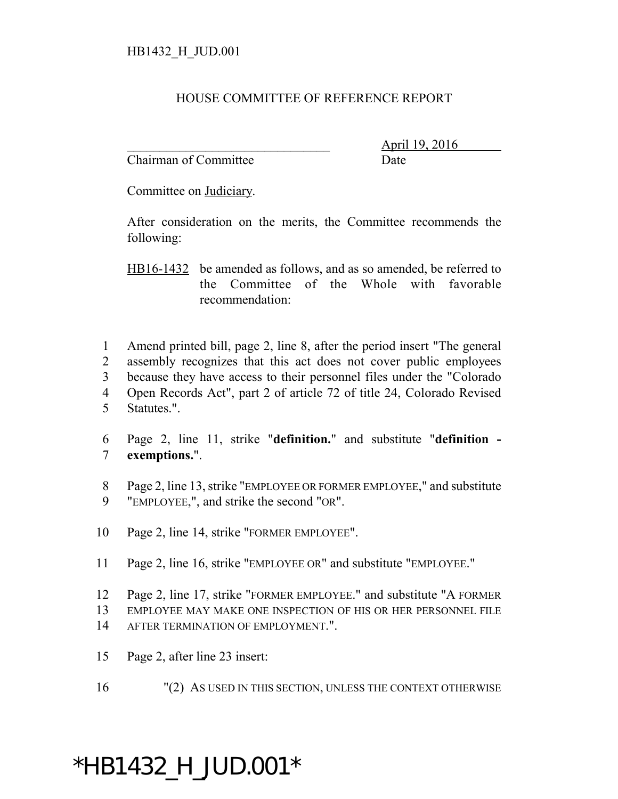## HOUSE COMMITTEE OF REFERENCE REPORT

Chairman of Committee Date

\_\_\_\_\_\_\_\_\_\_\_\_\_\_\_\_\_\_\_\_\_\_\_\_\_\_\_\_\_\_\_ April 19, 2016

Committee on Judiciary.

After consideration on the merits, the Committee recommends the following:

HB16-1432 be amended as follows, and as so amended, be referred to the Committee of the Whole with favorable recommendation:

 Amend printed bill, page 2, line 8, after the period insert "The general assembly recognizes that this act does not cover public employees because they have access to their personnel files under the "Colorado Open Records Act", part 2 of article 72 of title 24, Colorado Revised Statutes.".

- 6 Page 2, line 11, strike "**definition.**" and substitute "**definition -** 7 **exemptions.**".
- 8 Page 2, line 13, strike "EMPLOYEE OR FORMER EMPLOYEE," and substitute 9 "EMPLOYEE,", and strike the second "OR".
- 10 Page 2, line 14, strike "FORMER EMPLOYEE".
- 11 Page 2, line 16, strike "EMPLOYEE OR" and substitute "EMPLOYEE."
- 12 Page 2, line 17, strike "FORMER EMPLOYEE." and substitute "A FORMER 13 EMPLOYEE MAY MAKE ONE INSPECTION OF HIS OR HER PERSONNEL FILE
- 14 AFTER TERMINATION OF EMPLOYMENT."
- 15 Page 2, after line 23 insert:
- 16 "(2) AS USED IN THIS SECTION, UNLESS THE CONTEXT OTHERWISE

## \*HB1432\_H\_JUD.001\*